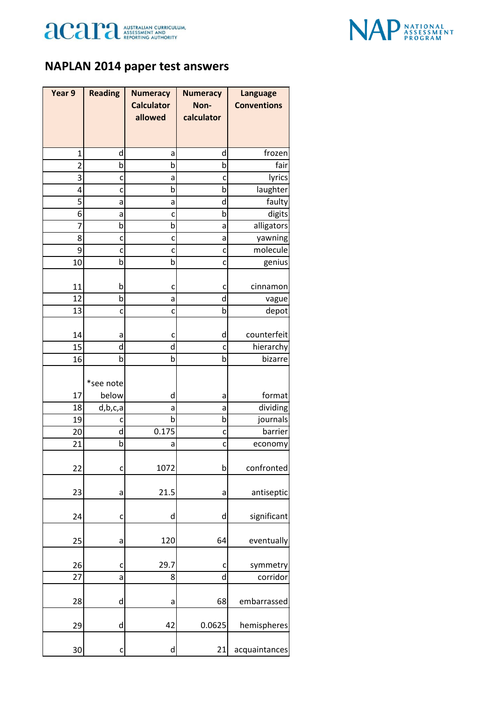



## **NAPLAN 2014 paper test answers**

| Year 9         | <b>Reading</b>     | <b>Numeracy</b>              | <b>Numeracy</b>    | <b>Language</b>    |
|----------------|--------------------|------------------------------|--------------------|--------------------|
|                |                    | <b>Calculator</b><br>allowed | Non-<br>calculator | <b>Conventions</b> |
|                |                    |                              |                    |                    |
|                |                    |                              |                    |                    |
| 1              | d                  | а                            | d                  | frozen             |
| $\overline{2}$ | $\mathsf b$        | b                            | b                  | fair               |
| 3              | c                  | a                            | c                  | lyrics             |
| 4              | c                  | b                            | b                  | laughter           |
| 5              | a                  | a                            | d                  | faulty             |
| 6              | a                  | c                            | b                  | digits             |
| 7              | þ                  | b                            | a                  | alligators         |
| 8              | C                  | C                            | a                  | yawning            |
| 9              | C                  | c                            | C                  | molecule           |
| 10             | b                  | b                            | c                  | genius             |
| 11             | b                  | c                            | c                  | cinnamon           |
| 12             | b                  | a                            | d                  | vague              |
| 13             | C                  | c                            | b                  | depot              |
|                |                    |                              |                    |                    |
| 14             | а                  | c                            | d                  | counterfeit        |
| 15             | d                  | d                            | c                  | hierarchy          |
| 16             | b                  | b                            | b                  | bizarre            |
|                |                    |                              |                    |                    |
| 17             | *see note<br>below | d                            | а                  | format             |
| 18             | d,b,c,a            | а                            | а                  | dividing           |
| 19             |                    | b                            | b                  | journals           |
| 20             | d                  | 0.175                        | C                  | barrier            |
| 21             | b                  | a                            | c                  | economy            |
|                |                    |                              |                    |                    |
| 22             | C                  | 1072                         | b                  | confronted         |
|                |                    |                              |                    |                    |
| 23             | a                  | 21.5                         | a                  | antiseptic         |
|                |                    |                              |                    |                    |
| 24             | C                  | d                            | d                  | significant        |
| 25             | a                  | 120                          | 64                 | eventually         |
|                |                    |                              |                    |                    |
| 26             | C                  | 29.7                         | c                  | symmetry           |
| 27             | a                  | 8                            | d                  | corridor           |
|                |                    |                              |                    |                    |
| 28             | d                  | a                            | 68                 | embarrassed        |
| 29             | d                  | 42                           | 0.0625             | hemispheres        |
|                |                    |                              |                    |                    |
| 30             | c                  | d                            | 21                 | acquaintances      |